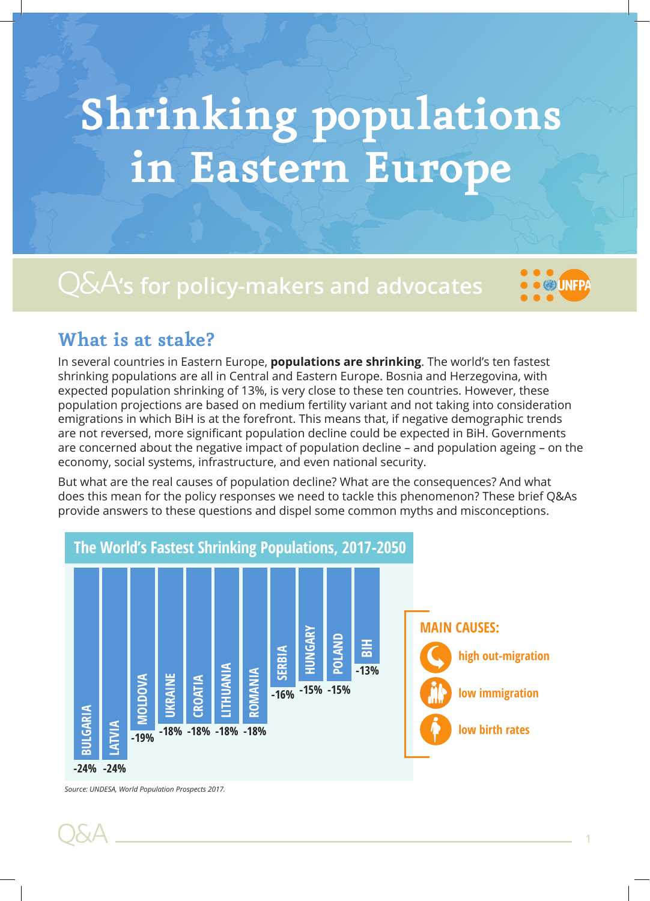# **Shrinking populations in Eastern Europe**

## **Q&A's for policy-makers and advocates**

#### **What is at stake?**

In several countries in Eastern Europe, **populations are shrinking**. The world's ten fastest shrinking populations are all in Central and Eastern Europe. Bosnia and Herzegovina, with expected population shrinking of 13%, is very close to these ten countries. However, these population projections are based on medium fertility variant and not taking into consideration emigrations in which BiH is at the forefront. This means that, if negative demographic trends are not reversed, more significant population decline could be expected in BiH. Governments are concerned about the negative impact of population decline – and population ageing – on the economy, social systems, infrastructure, and even national security.

But what are the real causes of population decline? What are the consequences? And what does this mean for the policy responses we need to tackle this phenomenon? These brief Q&As provide answers to these questions and dispel some common myths and misconceptions.



*Source: UNDESA, World Population Prospects 2017.*

**OUNER**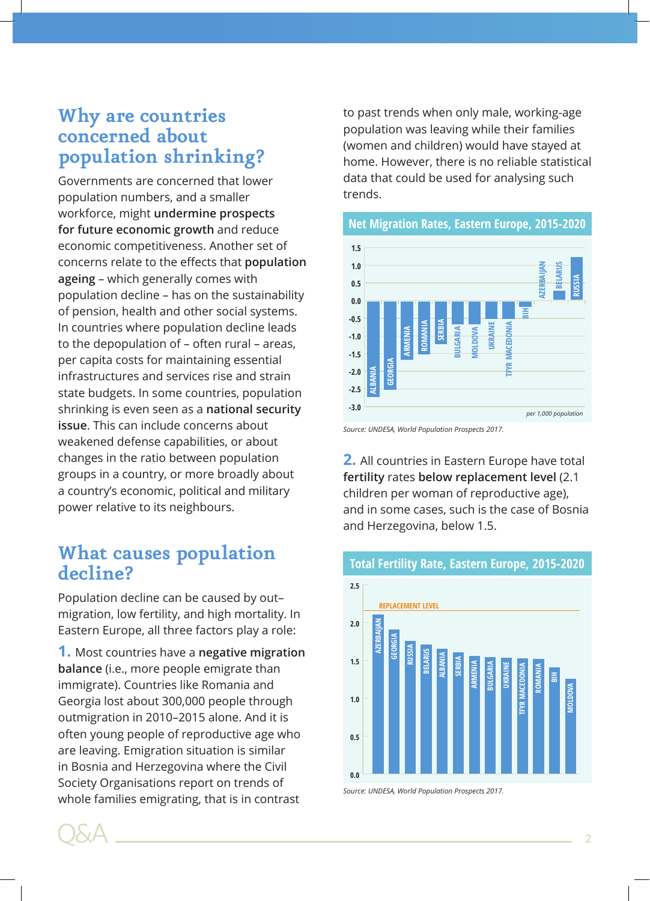#### **Why are countries concerned about population shrinking?**

Governments are concerned that lower population numbers, and a smaller workforce, might **undermine prospects for future economic growth** and reduce economic competitiveness. Another set of concerns relate to the effects that **population ageing** – which generally comes with population decline – has on the sustainability of pension, health and other social systems. In countries where population decline leads to the depopulation of – often rural – areas, per capita costs for maintaining essential infrastructures and services rise and strain state budgets. In some countries, population shrinking is even seen as a **national security issue**. This can include concerns about weakened defense capabilities, or about changes in the ratio between population groups in a country, or more broadly about a country's economic, political and military power relative to its neighbours.

#### **What causes population decline?**

Population decline can be caused by out– migration, low fertility, and high mortality. In Eastern Europe, all three factors play a role:

**1.** Most countries have a **negative migration balance** (i.e., more people emigrate than immigrate). Countries like Romania and Georgia lost about 300,000 people through outmigration in 2010–2015 alone. And it is often young people of reproductive age who are leaving. Emigration situation is similar in Bosnia and Herzegovina where the Civil Society Organisations report on trends of whole families emigrating, that is in contrast

to past trends when only male, working-age population was leaving while their families (women and children) would have stayed at home. However, there is no reliable statistical data that could be used for analysing such trends.



*Source: UNDESA, World Population Prospects 2017.*

**2.** All countries in Eastern Europe have total **fertility** rates **below replacement level** (2.1 children per woman of reproductive age), and in some cases, such is the case of Bosnia and Herzegovina, below 1.5.



*Source: UNDESA, World Population Prospects 2017.*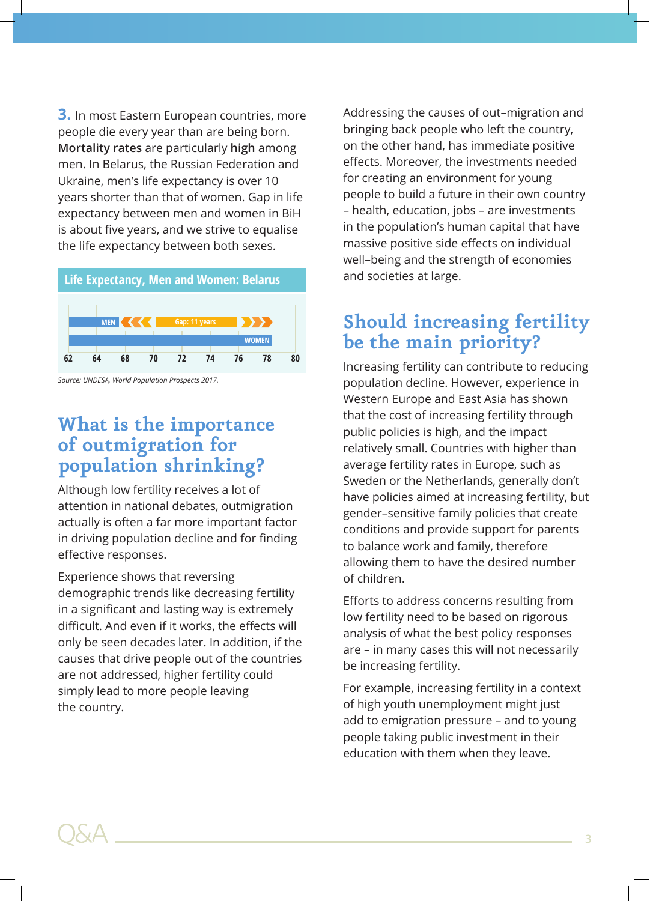**3.** In most Eastern European countries, more people die every year than are being born. **Mortality rates** are particularly **high** among men. In Belarus, the Russian Federation and Ukraine, men's life expectancy is over 10 years shorter than that of women. Gap in life expectancy between men and women in BiH is about five years, and we strive to equalise the life expectancy between both sexes.



*Source: UNDESA, World Population Prospects 2017.*

### **What is the importance of outmigration for population shrinking?**

Although low fertility receives a lot of attention in national debates, outmigration actually is often a far more important factor in driving population decline and for finding effective responses.

Experience shows that reversing demographic trends like decreasing fertility in a significant and lasting way is extremely difficult. And even if it works, the effects will only be seen decades later. In addition, if the causes that drive people out of the countries are not addressed, higher fertility could simply lead to more people leaving the country.

Addressing the causes of out–migration and bringing back people who left the country, on the other hand, has immediate positive effects. Moreover, the investments needed for creating an environment for young people to build a future in their own country – health, education, jobs – are investments in the population's human capital that have massive positive side effects on individual well–being and the strength of economies and societies at large.

### **Should increasing fertility be the main priority?**

Increasing fertility can contribute to reducing population decline. However, experience in Western Europe and East Asia has shown that the cost of increasing fertility through public policies is high, and the impact relatively small. Countries with higher than average fertility rates in Europe, such as Sweden or the Netherlands, generally don't have policies aimed at increasing fertility, but gender–sensitive family policies that create conditions and provide support for parents to balance work and family, therefore allowing them to have the desired number of children.

Efforts to address concerns resulting from low fertility need to be based on rigorous analysis of what the best policy responses are – in many cases this will not necessarily be increasing fertility.

For example, increasing fertility in a context of high youth unemployment might just add to emigration pressure – and to young people taking public investment in their education with them when they leave.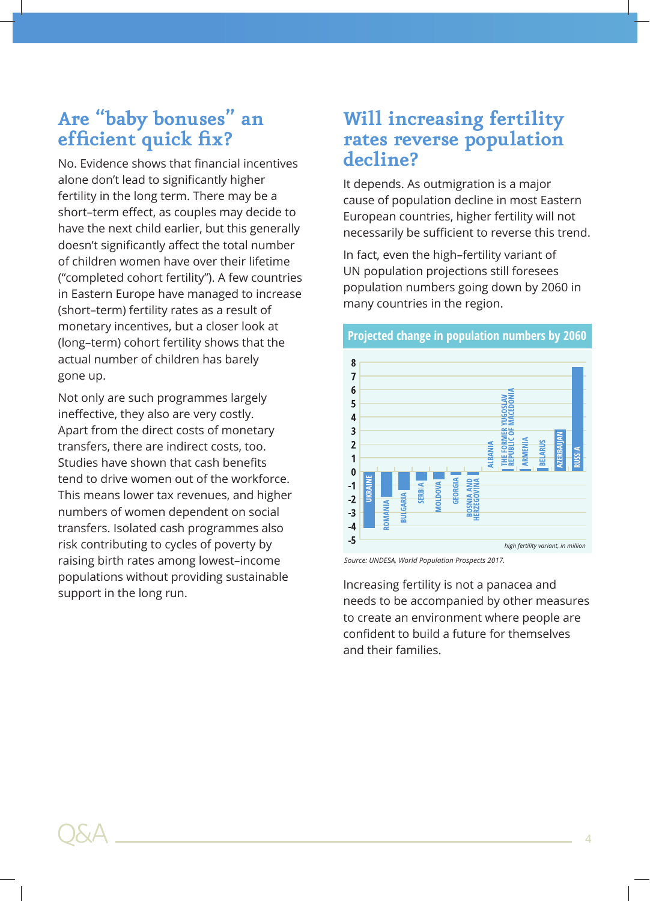## **Are "baby bonuses" an efficient quick fix?**

No. Evidence shows that financial incentives alone don't lead to significantly higher fertility in the long term. There may be a short–term effect, as couples may decide to have the next child earlier, but this generally doesn't significantly affect the total number of children women have over their lifetime ("completed cohort fertility"). A few countries in Eastern Europe have managed to increase (short–term) fertility rates as a result of monetary incentives, but a closer look at (long–term) cohort fertility shows that the actual number of children has barely gone up.

Not only are such programmes largely ineffective, they also are very costly. Apart from the direct costs of monetary transfers, there are indirect costs, too. Studies have shown that cash benefits tend to drive women out of the workforce. This means lower tax revenues, and higher numbers of women dependent on social transfers. Isolated cash programmes also risk contributing to cycles of poverty by raising birth rates among lowest–income populations without providing sustainable support in the long run.

#### **Will increasing fertility rates reverse population decline?**

It depends. As outmigration is a major cause of population decline in most Eastern European countries, higher fertility will not necessarily be sufficient to reverse this trend.

In fact, even the high–fertility variant of UN population projections still foresees population numbers going down by 2060 in many countries in the region.



#### **Projected change in population numbers by 2060**

*Source: UNDESA, World Population Prospects 2017.*

Increasing fertility is not a panacea and needs to be accompanied by other measures to create an environment where people are confident to build a future for themselves and their families.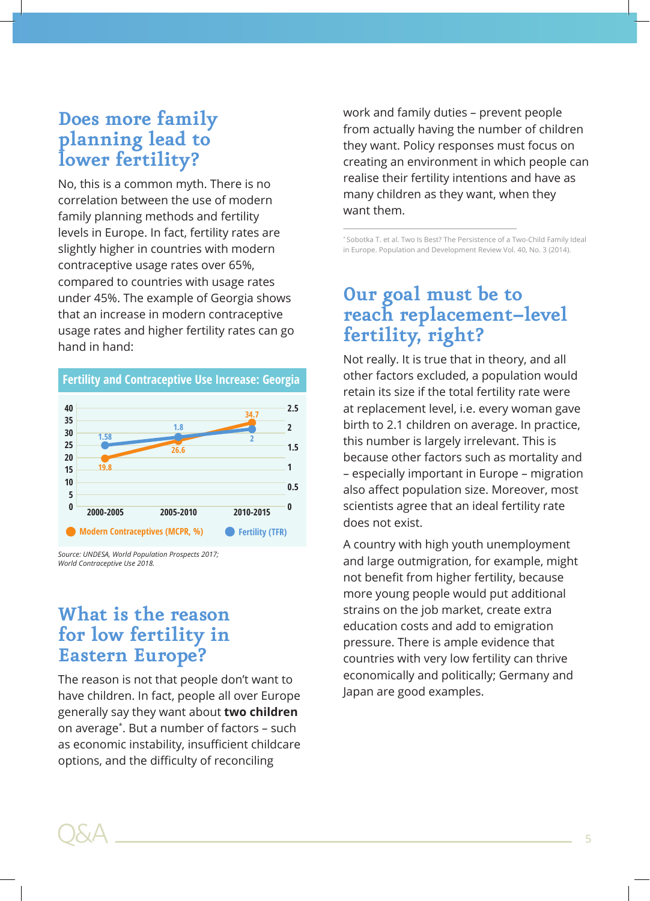#### **Does more family planning lead to lower fertility?**

No, this is a common myth. There is no correlation between the use of modern family planning methods and fertility levels in Europe. In fact, fertility rates are slightly higher in countries with modern contraceptive usage rates over 65%, compared to countries with usage rates under 45%. The example of Georgia shows that an increase in modern contraceptive usage rates and higher fertility rates can go hand in hand:



*Source: UNDESA, World Population Prospects 2017; World Contraceptive Use 2018.*

### **What is the reason for low fertility in Eastern Europe?**

The reason is not that people don't want to have children. In fact, people all over Europe generally say they want about **two children** on average\* . But a number of factors – such as economic instability, insufficient childcare options, and the difficulty of reconciling

work and family duties – prevent people from actually having the number of children they want. Policy responses must focus on creating an environment in which people can realise their fertility intentions and have as many children as they want, when they want them.

\* Sobotka T. et al. Two Is Best? The Persistence of a Two-Child Family Ideal in Europe. Population and Development Review Vol. 40, No. 3 (2014).

### **Our goal must be to reach replacement–level fertility, right?**

Not really. It is true that in theory, and all other factors excluded, a population would retain its size if the total fertility rate were at replacement level, i.e. every woman gave birth to 2.1 children on average. In practice, this number is largely irrelevant. This is because other factors such as mortality and – especially important in Europe – migration also affect population size. Moreover, most scientists agree that an ideal fertility rate does not exist.

A country with high youth unemployment and large outmigration, for example, might not benefit from higher fertility, because more young people would put additional strains on the job market, create extra education costs and add to emigration pressure. There is ample evidence that countries with very low fertility can thrive economically and politically; Germany and Japan are good examples.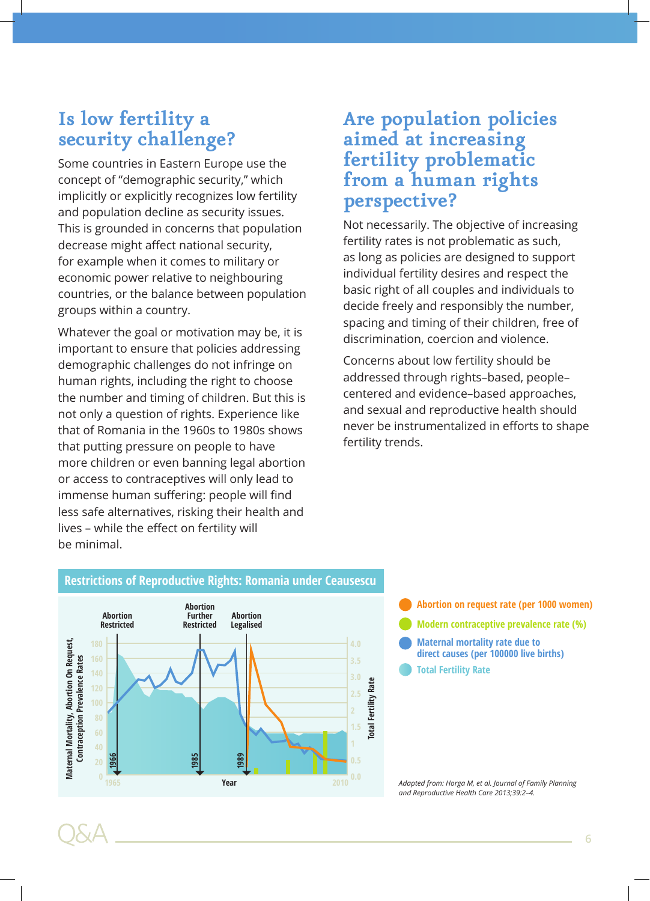## **Is low fertility a security challenge?**

Some countries in Eastern Europe use the concept of "demographic security," which implicitly or explicitly recognizes low fertility and population decline as security issues. This is grounded in concerns that population decrease might affect national security, for example when it comes to military or economic power relative to neighbouring countries, or the balance between population groups within a country.

Whatever the goal or motivation may be, it is important to ensure that policies addressing demographic challenges do not infringe on human rights, including the right to choose the number and timing of children. But this is not only a question of rights. Experience like that of Romania in the 1960s to 1980s shows that putting pressure on people to have more children or even banning legal abortion or access to contraceptives will only lead to immense human suffering: people will find less safe alternatives, risking their health and lives – while the effect on fertility will be minimal.

### **Are population policies aimed at increasing fertility problematic from a human rights perspective?**

Not necessarily. The objective of increasing fertility rates is not problematic as such, as long as policies are designed to support individual fertility desires and respect the basic right of all couples and individuals to decide freely and responsibly the number, spacing and timing of their children, free of discrimination, coercion and violence.

Concerns about low fertility should be addressed through rights–based, people– centered and evidence–based approaches, and sexual and reproductive health should never be instrumentalized in efforts to shape fertility trends.



#### **Restrictions of Reproductive Rights: Romania under Ceausescu**

#### **Abortion on request rate (per 1000 women) Maternal mortality rate due to direct causes (per 100000 live births) Total Fertility Rate Modern contraceptive prevalence rate (%)**

*Adapted from: Horga M, et al. Journal of Family Planning and Reproductive Health Care 2013;39:2–4.*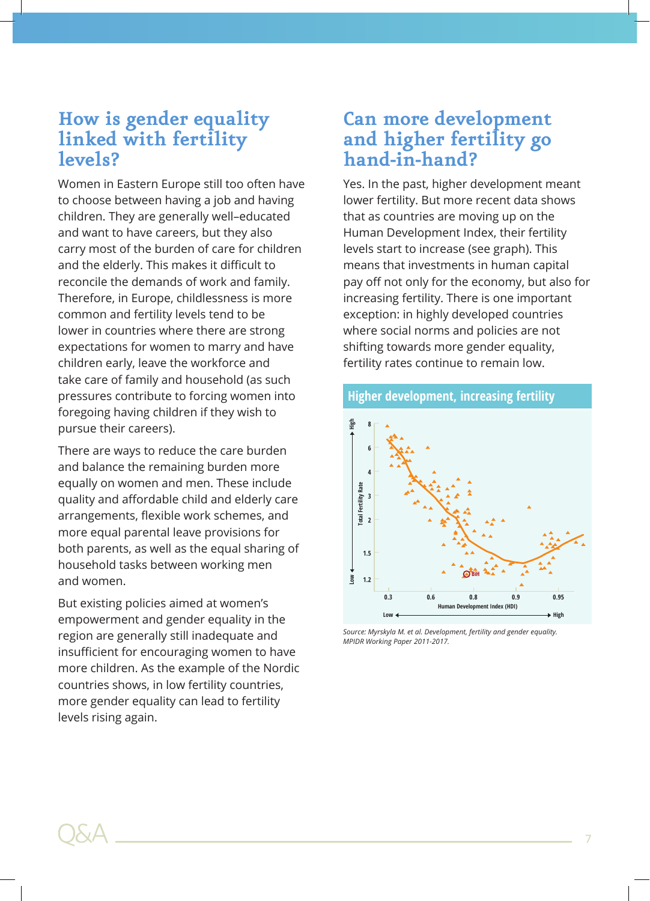#### **How is gender equality linked with fertility levels?**

Women in Eastern Europe still too often have to choose between having a job and having children. They are generally well–educated and want to have careers, but they also carry most of the burden of care for children and the elderly. This makes it difficult to reconcile the demands of work and family. Therefore, in Europe, childlessness is more common and fertility levels tend to be lower in countries where there are strong expectations for women to marry and have children early, leave the workforce and take care of family and household (as such pressures contribute to forcing women into foregoing having children if they wish to pursue their careers).

There are ways to reduce the care burden and balance the remaining burden more equally on women and men. These include quality and affordable child and elderly care arrangements, flexible work schemes, and more equal parental leave provisions for both parents, as well as the equal sharing of household tasks between working men and women.

But existing policies aimed at women's empowerment and gender equality in the region are generally still inadequate and insufficient for encouraging women to have more children. As the example of the Nordic countries shows, in low fertility countries, more gender equality can lead to fertility levels rising again.

#### **Can more development and higher fertility go hand-in-hand?**

Yes. In the past, higher development meant lower fertility. But more recent data shows that as countries are moving up on the Human Development Index, their fertility levels start to increase (see graph). This means that investments in human capital pay off not only for the economy, but also for increasing fertility. There is one important exception: in highly developed countries where social norms and policies are not shifting towards more gender equality, fertility rates continue to remain low.

#### **Higher development, increasing fertility**



*Source: Myrskyla M. et al. Development, fertility and gender equality. MPIDR Working Paper 2011-2017.*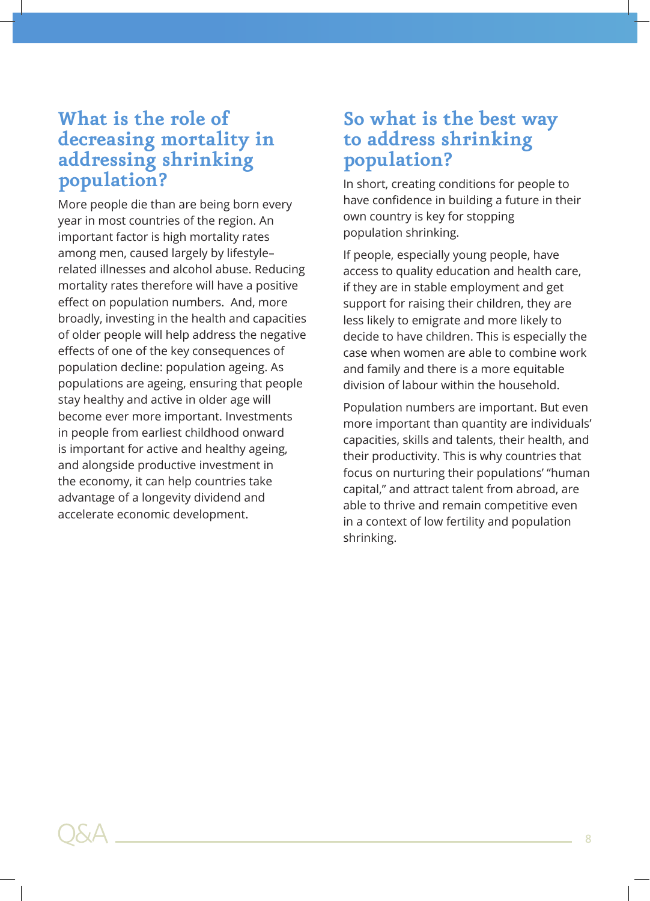#### **What is the role of decreasing mortality in addressing shrinking population?**

More people die than are being born every year in most countries of the region. An important factor is high mortality rates among men, caused largely by lifestyle– related illnesses and alcohol abuse. Reducing mortality rates therefore will have a positive effect on population numbers. And, more broadly, investing in the health and capacities of older people will help address the negative effects of one of the key consequences of population decline: population ageing. As populations are ageing, ensuring that people stay healthy and active in older age will become ever more important. Investments in people from earliest childhood onward is important for active and healthy ageing, and alongside productive investment in the economy, it can help countries take advantage of a longevity dividend and accelerate economic development.

#### **So what is the best way to address shrinking population?**

In short, creating conditions for people to have confidence in building a future in their own country is key for stopping population shrinking.

If people, especially young people, have access to quality education and health care, if they are in stable employment and get support for raising their children, they are less likely to emigrate and more likely to decide to have children. This is especially the case when women are able to combine work and family and there is a more equitable division of labour within the household.

Population numbers are important. But even more important than quantity are individuals' capacities, skills and talents, their health, and their productivity. This is why countries that focus on nurturing their populations' "human capital," and attract talent from abroad, are able to thrive and remain competitive even in a context of low fertility and population shrinking.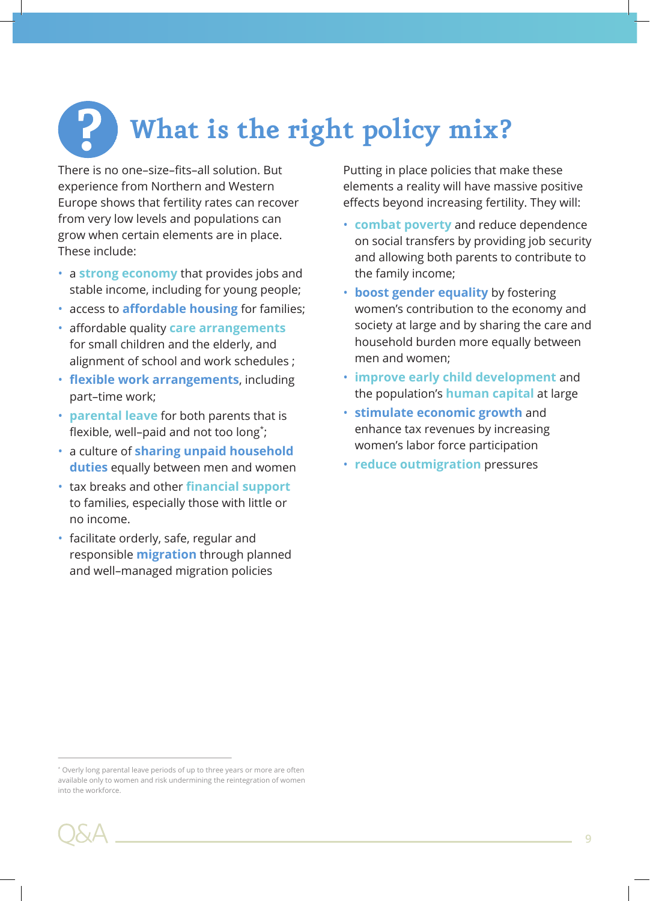# **What is the right policy mix?**

There is no one–size–fits–all solution. But experience from Northern and Western Europe shows that fertility rates can recover from very low levels and populations can grow when certain elements are in place. These include:

- a **strong economy** that provides jobs and stable income, including for young people;
- access to **affordable housing** for families;
- affordable quality **care arrangements** for small children and the elderly, and alignment of school and work schedules ;
- **flexible work arrangements**, including part–time work;
- **parental leave** for both parents that is flexible, well-paid and not too long<sup>\*</sup>;
- a culture of **sharing unpaid household duties** equally between men and women
- tax breaks and other **financial support** to families, especially those with little or no income.
- facilitate orderly, safe, regular and responsible **migration** through planned and well–managed migration policies

Putting in place policies that make these elements a reality will have massive positive effects beyond increasing fertility. They will:

- **combat poverty** and reduce dependence on social transfers by providing job security and allowing both parents to contribute to the family income;
- **boost gender equality** by fostering women's contribution to the economy and society at large and by sharing the care and household burden more equally between men and women;
- **improve early child development** and the population's **human capital** at large
- **stimulate economic growth** and enhance tax revenues by increasing women's labor force participation
- **reduce outmigration** pressures

<sup>\*</sup> Overly long parental leave periods of up to three years or more are often available only to women and risk undermining the reintegration of women into the workforce.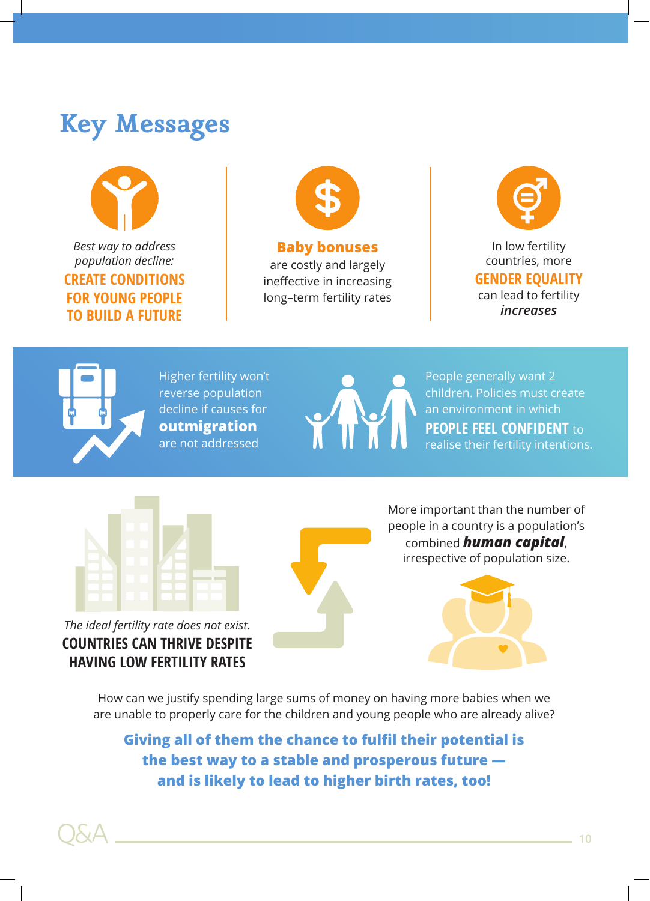## **Key Messages**



*population decline:* **CREATE CONDITIONS FOR YOUNG PEOPLE TO BUILD A FUTURE**



**Baby bonuses** are costly and largely ineffective in increasing long–term fertility rates



In low fertility countries, more **GENDER EQUALITY**  can lead to fertility *increases*



Higher fertility won't reverse population decline if causes for **outmigration** are not addressed



People generally want 2 children. Policies must create an environment in which **PEOPLE FEEL CONFIDENT** to realise their fertility intentions.



*The ideal fertility rate does not exist.* **COUNTRIES CAN THRIVE DESPITE HAVING LOW FERTILITY RATES**

More important than the number of people in a country is a population's combined *human capital*, irrespective of population size.



How can we justify spending large sums of money on having more babies when we are unable to properly care for the children and young people who are already alive?

**Giving all of them the chance to fulfil their potential is the best way to a stable and prosperous future and is likely to lead to higher birth rates, too!**

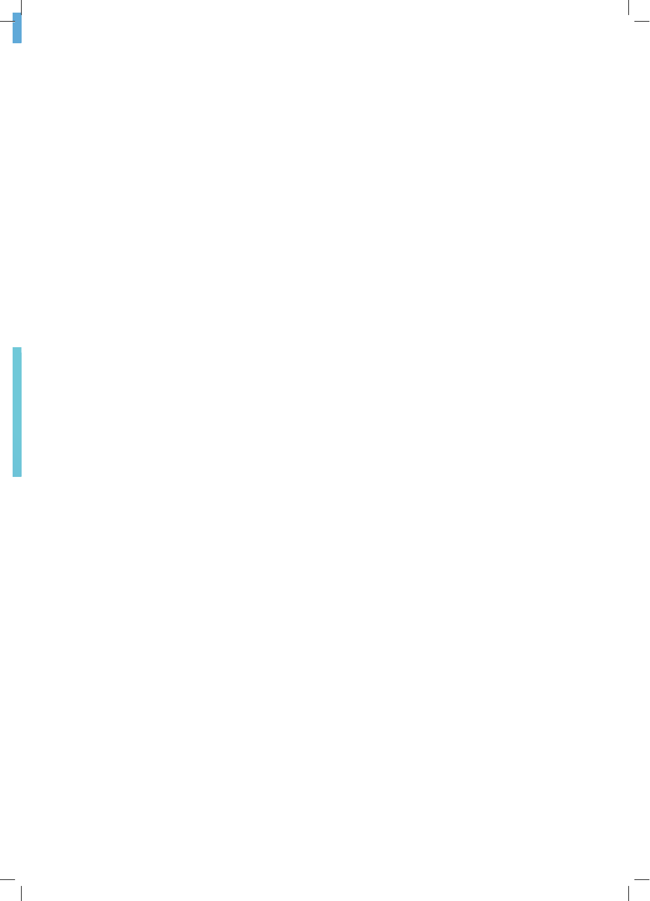$\mathbb{Z}$ 

 $\overline{\phantom{a}}$